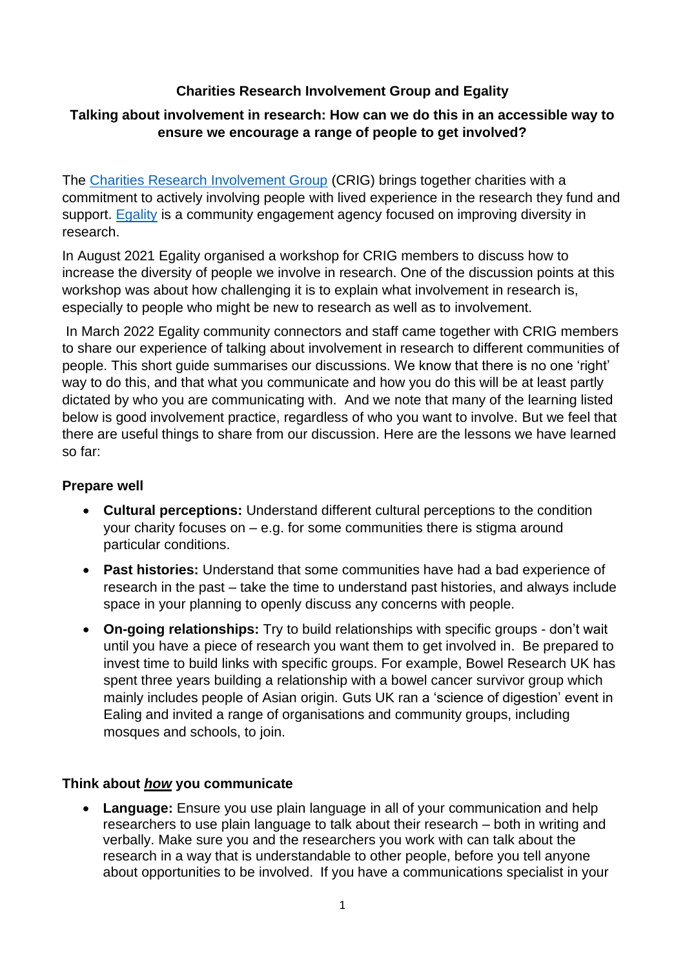# **Charities Research Involvement Group and Egality**

## **Talking about involvement in research: How can we do this in an accessible way to ensure we encourage a range of people to get involved?**

The [Charities Research Involvement Group](http://www.slginvolvement.org.uk/) (CRIG) brings together charities with a commitment to actively involving people with lived experience in the research they fund and support. [Egality](https://www.egality.health/) is a community engagement agency focused on improving diversity in research.

In August 2021 Egality organised a workshop for CRIG members to discuss how to increase the diversity of people we involve in research. One of the discussion points at this workshop was about how challenging it is to explain what involvement in research is, especially to people who might be new to research as well as to involvement.

In March 2022 Egality community connectors and staff came together with CRIG members to share our experience of talking about involvement in research to different communities of people. This short guide summarises our discussions. We know that there is no one 'right' way to do this, and that what you communicate and how you do this will be at least partly dictated by who you are communicating with. And we note that many of the learning listed below is good involvement practice, regardless of who you want to involve. But we feel that there are useful things to share from our discussion. Here are the lessons we have learned so far:

#### **Prepare well**

- **Cultural perceptions:** Understand different cultural perceptions to the condition your charity focuses on – e.g. for some communities there is stigma around particular conditions.
- **Past histories:** Understand that some communities have had a bad experience of research in the past – take the time to understand past histories, and always include space in your planning to openly discuss any concerns with people.
- **On-going relationships:** Try to build relationships with specific groups don't wait until you have a piece of research you want them to get involved in. Be prepared to invest time to build links with specific groups. For example, Bowel Research UK has spent three years building a relationship with a bowel cancer survivor group which mainly includes people of Asian origin. Guts UK ran a 'science of digestion' event in Ealing and invited a range of organisations and community groups, including mosques and schools, to join.

## **Think about** *how* **you communicate**

• **Language:** Ensure you use plain language in all of your communication and help researchers to use plain language to talk about their research – both in writing and verbally. Make sure you and the researchers you work with can talk about the research in a way that is understandable to other people, before you tell anyone about opportunities to be involved. If you have a communications specialist in your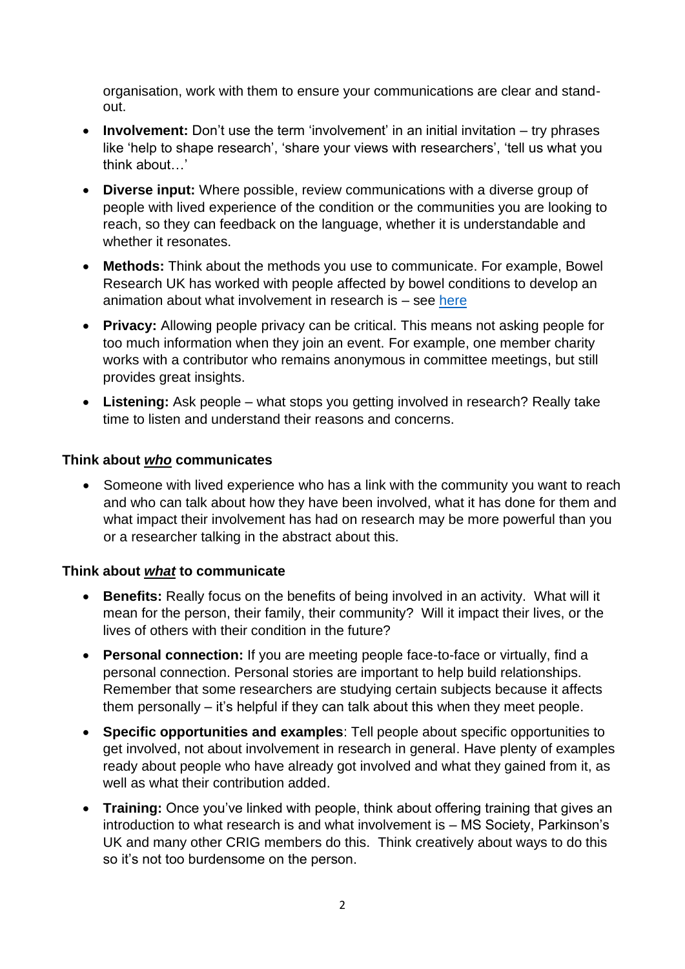organisation, work with them to ensure your communications are clear and standout.

- **Involvement:** Don't use the term 'involvement' in an initial invitation try phrases like 'help to shape research', 'share your views with researchers', 'tell us what you think about…'
- **Diverse input:** Where possible, review communications with a diverse group of people with lived experience of the condition or the communities you are looking to reach, so they can feedback on the language, whether it is understandable and whether it resonates.
- **Methods:** Think about the methods you use to communicate. For example, Bowel Research UK has worked with people affected by bowel conditions to develop an animation about what involvement in research is – see [here](https://www.youtube.com/watch?v=figrg3PRdO4&t=25s)
- **Privacy:** Allowing people privacy can be critical. This means not asking people for too much information when they join an event. For example, one member charity works with a contributor who remains anonymous in committee meetings, but still provides great insights.
- **Listening:** Ask people what stops you getting involved in research? Really take time to listen and understand their reasons and concerns.

#### **Think about** *who* **communicates**

• Someone with lived experience who has a link with the community you want to reach and who can talk about how they have been involved, what it has done for them and what impact their involvement has had on research may be more powerful than you or a researcher talking in the abstract about this.

## **Think about** *what* **to communicate**

- **Benefits:** Really focus on the benefits of being involved in an activity. What will it mean for the person, their family, their community? Will it impact their lives, or the lives of others with their condition in the future?
- **Personal connection:** If you are meeting people face-to-face or virtually, find a personal connection. Personal stories are important to help build relationships. Remember that some researchers are studying certain subjects because it affects them personally – it's helpful if they can talk about this when they meet people.
- **Specific opportunities and examples**: Tell people about specific opportunities to get involved, not about involvement in research in general. Have plenty of examples ready about people who have already got involved and what they gained from it, as well as what their contribution added.
- **Training:** Once you've linked with people, think about offering training that gives an introduction to what research is and what involvement is – MS Society, Parkinson's UK and many other CRIG members do this. Think creatively about ways to do this so it's not too burdensome on the person.